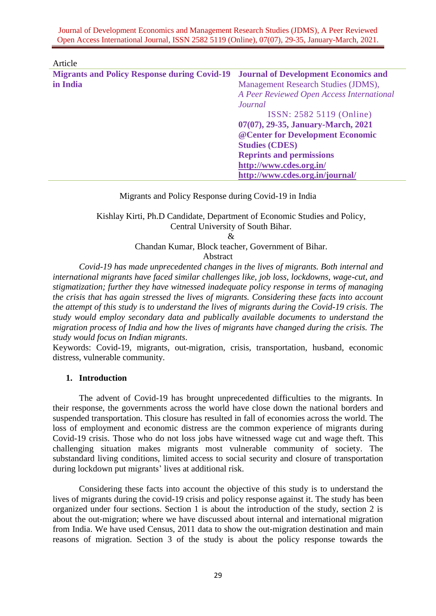Journal of Development Economics and Management Research Studies (JDMS), A Peer Reviewed Open Access International Journal, ISSN 2582 5119 (Online), 07(07), 29-35, January-March, 2021.

| Article                                             |                                             |
|-----------------------------------------------------|---------------------------------------------|
| <b>Migrants and Policy Response during Covid-19</b> | <b>Journal of Development Economics and</b> |
| in India                                            | Management Research Studies (JDMS),         |
|                                                     | A Peer Reviewed Open Access International   |
|                                                     | Journal                                     |
|                                                     | ISSN: 2582 5119 (Online)                    |
|                                                     | 07(07), 29-35, January-March, 2021          |
|                                                     | @ Center for Development Economic           |
|                                                     | <b>Studies (CDES)</b>                       |
|                                                     | <b>Reprints and permissions</b>             |
|                                                     | http://www.cdes.org.in/                     |
|                                                     | http://www.cdes.org.in/journal/             |

Migrants and Policy Response during Covid-19 in India

Kishlay Kirti, Ph.D Candidate, Department of Economic Studies and Policy, Central University of South Bihar.

&

Chandan Kumar, Block teacher, Government of Bihar.

Abstract

*Covid-19 has made unprecedented changes in the lives of migrants. Both internal and international migrants have faced similar challenges like, job loss, lockdowns, wage-cut, and stigmatization; further they have witnessed inadequate policy response in terms of managing the crisis that has again stressed the lives of migrants. Considering these facts into account the attempt of this study is to understand the lives of migrants during the Covid-19 crisis. The study would employ secondary data and publically available documents to understand the migration process of India and how the lives of migrants have changed during the crisis. The study would focus on Indian migrants*.

Keywords: Covid-19, migrants, out-migration, crisis, transportation, husband, economic distress, vulnerable community.

### **1. Introduction**

The advent of Covid-19 has brought unprecedented difficulties to the migrants. In their response, the governments across the world have close down the national borders and suspended transportation. This closure has resulted in fall of economies across the world. The loss of employment and economic distress are the common experience of migrants during Covid-19 crisis. Those who do not loss jobs have witnessed wage cut and wage theft. This challenging situation makes migrants most vulnerable community of society. The substandard living conditions, limited access to social security and closure of transportation during lockdown put migrants' lives at additional risk.

Considering these facts into account the objective of this study is to understand the lives of migrants during the covid-19 crisis and policy response against it. The study has been organized under four sections. Section 1 is about the introduction of the study, section 2 is about the out-migration; where we have discussed about internal and international migration from India. We have used Census, 2011 data to show the out-migration destination and main reasons of migration. Section 3 of the study is about the policy response towards the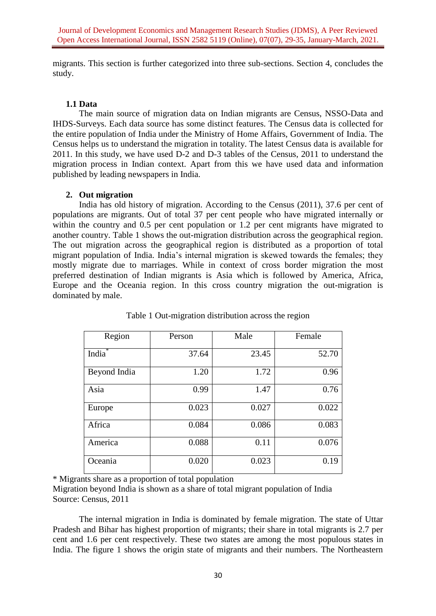migrants. This section is further categorized into three sub-sections. Section 4, concludes the study.

# **1.1 Data**

The main source of migration data on Indian migrants are Census, NSSO-Data and IHDS-Surveys. Each data source has some distinct features. The Census data is collected for the entire population of India under the Ministry of Home Affairs, Government of India. The Census helps us to understand the migration in totality. The latest Census data is available for 2011. In this study, we have used D-2 and D-3 tables of the Census, 2011 to understand the migration process in Indian context. Apart from this we have used data and information published by leading newspapers in India.

## **2. Out migration**

India has old history of migration. According to the Census (2011), 37.6 per cent of populations are migrants. Out of total 37 per cent people who have migrated internally or within the country and 0.5 per cent population or 1.2 per cent migrants have migrated to another country. Table 1 shows the out-migration distribution across the geographical region. The out migration across the geographical region is distributed as a proportion of total migrant population of India. India's internal migration is skewed towards the females; they mostly migrate due to marriages. While in context of cross border migration the most preferred destination of Indian migrants is Asia which is followed by America, Africa, Europe and the Oceania region. In this cross country migration the out-migration is dominated by male.

| Region             | Person | Male  | Female |
|--------------------|--------|-------|--------|
| India <sup>*</sup> | 37.64  | 23.45 | 52.70  |
| Beyond India       | 1.20   | 1.72  | 0.96   |
| Asia               | 0.99   | 1.47  | 0.76   |
| Europe             | 0.023  | 0.027 | 0.022  |
| Africa             | 0.084  | 0.086 | 0.083  |
| America            | 0.088  | 0.11  | 0.076  |
| Oceania            | 0.020  | 0.023 | 0.19   |

Table 1 Out-migration distribution across the region

\* Migrants share as a proportion of total population

Migration beyond India is shown as a share of total migrant population of India Source: Census, 2011

The internal migration in India is dominated by female migration. The state of Uttar Pradesh and Bihar has highest proportion of migrants; their share in total migrants is 2.7 per cent and 1.6 per cent respectively. These two states are among the most populous states in India. The figure 1 shows the origin state of migrants and their numbers. The Northeastern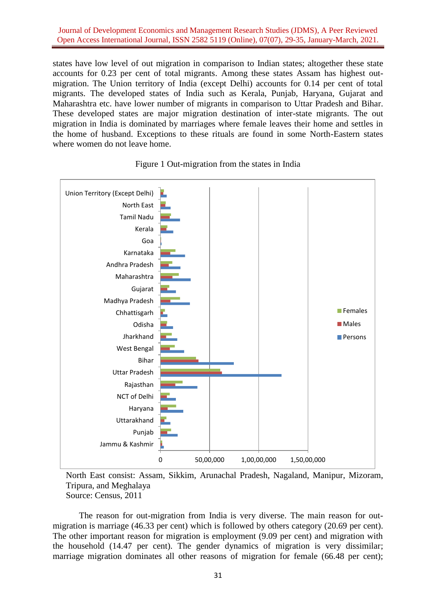Journal of Development Economics and Management Research Studies (JDMS), A Peer Reviewed Open Access International Journal, ISSN 2582 5119 (Online), 07(07), 29-35, January-March, 2021.

states have low level of out migration in comparison to Indian states; altogether these state accounts for 0.23 per cent of total migrants. Among these states Assam has highest outmigration. The Union territory of India (except Delhi) accounts for 0.14 per cent of total migrants. The developed states of India such as Kerala, Punjab, Haryana, Gujarat and Maharashtra etc. have lower number of migrants in comparison to Uttar Pradesh and Bihar. These developed states are major migration destination of inter-state migrants. The out migration in India is dominated by marriages where female leaves their home and settles in the home of husband. Exceptions to these rituals are found in some North-Eastern states where women do not leave home.





North East consist: Assam, Sikkim, Arunachal Pradesh, Nagaland, Manipur, Mizoram, Tripura, and Meghalaya Source: Census, 2011

The reason for out-migration from India is very diverse. The main reason for outmigration is marriage (46.33 per cent) which is followed by others category (20.69 per cent). The other important reason for migration is employment (9.09 per cent) and migration with the household (14.47 per cent). The gender dynamics of migration is very dissimilar; marriage migration dominates all other reasons of migration for female (66.48 per cent);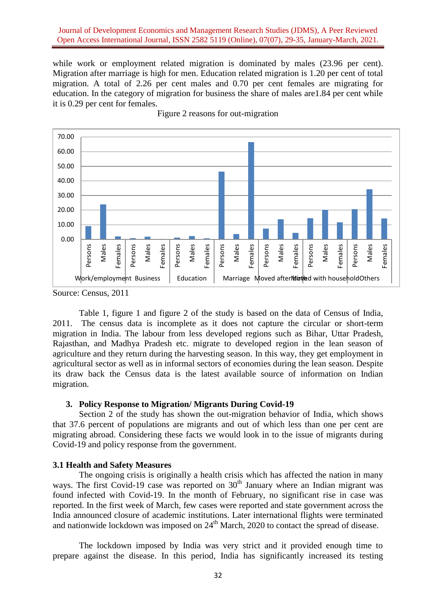### Journal of Development Economics and Management Research Studies (JDMS), A Peer Reviewed Open Access International Journal, ISSN 2582 5119 (Online), 07(07), 29-35, January-March, 2021.

while work or employment related migration is dominated by males  $(23.96 \text{ per cent})$ . Migration after marriage is high for men. Education related migration is 1.20 per cent of total migration. A total of 2.26 per cent males and 0.70 per cent females are migrating for education. In the category of migration for business the share of males are1.84 per cent while it is 0.29 per cent for females.



Figure 2 reasons for out-migration

Table 1, figure 1 and figure 2 of the study is based on the data of Census of India, 2011. The census data is incomplete as it does not capture the circular or short-term migration in India. The labour from less developed regions such as Bihar, Uttar Pradesh, Rajasthan, and Madhya Pradesh etc. migrate to developed region in the lean season of agriculture and they return during the harvesting season. In this way, they get employment in agricultural sector as well as in informal sectors of economies during the lean season. Despite its draw back the Census data is the latest available source of information on Indian migration.

### **3. Policy Response to Migration/ Migrants During Covid-19**

Section 2 of the study has shown the out-migration behavior of India, which shows that 37.6 percent of populations are migrants and out of which less than one per cent are migrating abroad. Considering these facts we would look in to the issue of migrants during Covid-19 and policy response from the government.

#### **3.1 Health and Safety Measures**

The ongoing crisis is originally a health crisis which has affected the nation in many ways. The first Covid-19 case was reported on  $30<sup>th</sup>$  January where an Indian migrant was found infected with Covid-19. In the month of February, no significant rise in case was reported. In the first week of March, few cases were reported and state government across the India announced closure of academic institutions. Later international flights were terminated and nationwide lockdown was imposed on  $24<sup>th</sup>$  March, 2020 to contact the spread of disease.

The lockdown imposed by India was very strict and it provided enough time to prepare against the disease. In this period, India has significantly increased its testing

Source: Census, 2011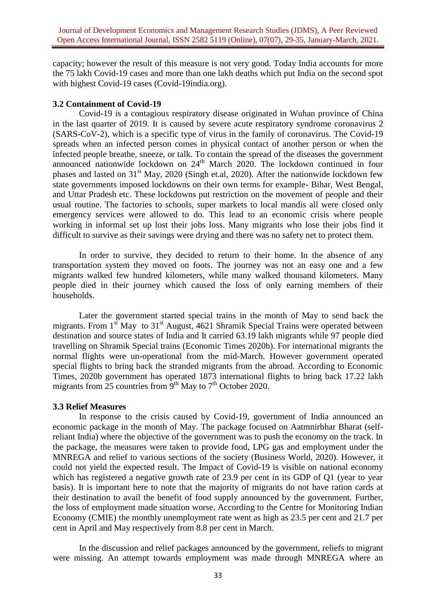capacity; however the result of this measure is not very good. Today India accounts for more the 75 lakh Covid-19 cases and more than one lakh deaths which put India on the second spot with highest Covid-19 cases (Covid-19india.org).

### **3.2 Containment of Covid-19**

Covid-19 is a contagious respiratory disease originated in Wuhan province of China in the last quarter of 2019. It is caused by severe acute respiratory syndrome coronavirus 2 (SARS-CoV-2), which is a specific type of virus in the family of coronavirus. The Covid-19 spreads when an infected person comes in physical contact of another person or when the infected people breathe, sneeze, or talk. To contain the spread of the diseases the government announced nationwide lockdown on  $24<sup>th</sup>$  March 2020. The lockdown continued in four phases and lasted on  $31<sup>st</sup>$  May, 2020 (Singh et.al, 2020). After the nationwide lockdown few state governments imposed lockdowns on their own terms for example- Bihar, West Bengal, and Uttar Pradesh etc. These lockdowns put restriction on the movement of people and their usual routine. The factories to schools, super markets to local mandis all were closed only emergency services were allowed to do. This lead to an economic crisis where people working in informal set up lost their jobs loss. Many migrants who lose their jobs find it difficult to survive as their savings were drying and there was no safety net to protect them.

In order to survive, they decided to return to their home. In the absence of any transportation system they moved on foots. The journey was not an easy one and a few migrants walked few hundred kilometers, while many walked thousand kilometers. Many people died in their journey which caused the loss of only earning members of their households.

Later the government started special trains in the month of May to send back the migrants. From  $1<sup>st</sup>$  May to  $31<sup>st</sup>$  August, 4621 Shramik Special Trains were operated between destination and source states of India and It carried 63.19 lakh migrants while 97 people died travelling on Shramik Special trains (Economic Times 2020b). For international migrants the normal flights were un-operational from the mid-March. However government operated special flights to bring back the stranded migrants from the abroad. According to Economic Times, 2020b government has operated 1873 international flights to bring back 17.22 lakh migrants from  $25$  countries from  $9<sup>th</sup>$  May to  $7<sup>th</sup>$  October 2020.

## **3.3 Relief Measures**

In response to the crisis caused by Covid-19, government of India announced an economic package in the month of May. The package focused on Aatmnirbhar Bharat (selfreliant India) where the objective of the government was to push the economy on the track. In the package, the measures were taken to provide food, LPG gas and employment under the MNREGA and relief to various sections of the society (Business World, 2020). However, it could not yield the expected result. The Impact of Covid-19 is visible on national economy which has registered a negative growth rate of 23.9 per cent in its GDP of Q1 (year to year basis). It is important here to note that the majority of migrants do not have ration cards at their destination to avail the benefit of food supply announced by the government. Further, the loss of employment made situation worse. According to the Centre for Monitoring Indian Economy (CMIE) the monthly unemployment rate went as high as 23.5 per cent and 21.7 per cent in April and May respectively from 8.8 per cent in March.

In the discussion and relief packages announced by the government, reliefs to migrant were missing. An attempt towards employment was made through MNREGA where an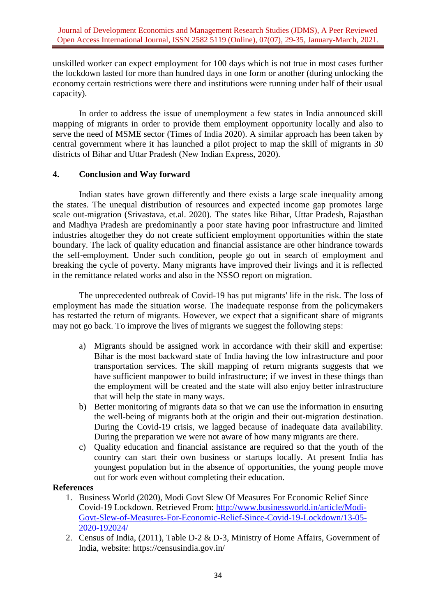unskilled worker can expect employment for 100 days which is not true in most cases further the lockdown lasted for more than hundred days in one form or another (during unlocking the economy certain restrictions were there and institutions were running under half of their usual capacity).

In order to address the issue of unemployment a few states in India announced skill mapping of migrants in order to provide them employment opportunity locally and also to serve the need of MSME sector (Times of India 2020). A similar approach has been taken by central government where it has launched a pilot project to map the skill of migrants in 30 districts of Bihar and Uttar Pradesh (New Indian Express, 2020).

## **4. Conclusion and Way forward**

Indian states have grown differently and there exists a large scale inequality among the states. The unequal distribution of resources and expected income gap promotes large scale out-migration (Srivastava, et.al. 2020). The states like Bihar, Uttar Pradesh, Rajasthan and Madhya Pradesh are predominantly a poor state having poor infrastructure and limited industries altogether they do not create sufficient employment opportunities within the state boundary. The lack of quality education and financial assistance are other hindrance towards the self-employment. Under such condition, people go out in search of employment and breaking the cycle of poverty. Many migrants have improved their livings and it is reflected in the remittance related works and also in the NSSO report on migration.

The unprecedented outbreak of Covid-19 has put migrants' life in the risk. The loss of employment has made the situation worse. The inadequate response from the policymakers has restarted the return of migrants. However, we expect that a significant share of migrants may not go back. To improve the lives of migrants we suggest the following steps:

- a) Migrants should be assigned work in accordance with their skill and expertise: Bihar is the most backward state of India having the low infrastructure and poor transportation services. The skill mapping of return migrants suggests that we have sufficient manpower to build infrastructure; if we invest in these things than the employment will be created and the state will also enjoy better infrastructure that will help the state in many ways.
- b) Better monitoring of migrants data so that we can use the information in ensuring the well-being of migrants both at the origin and their out-migration destination. During the Covid-19 crisis, we lagged because of inadequate data availability. During the preparation we were not aware of how many migrants are there.
- c) Quality education and financial assistance are required so that the youth of the country can start their own business or startups locally. At present India has youngest population but in the absence of opportunities, the young people move out for work even without completing their education.

## **References**

- 1. Business World (2020), Modi Govt Slew Of Measures For Economic Relief Since Covid-19 Lockdown. Retrieved From: [http://www.businessworld.in/article/Modi-](http://www.businessworld.in/article/Modi-Govt-Slew-of-Measures-For-Economic-Relief-Since-Covid-19-Lockdown/13-05-2020-192024/)[Govt-Slew-of-Measures-For-Economic-Relief-Since-Covid-19-Lockdown/13-05-](http://www.businessworld.in/article/Modi-Govt-Slew-of-Measures-For-Economic-Relief-Since-Covid-19-Lockdown/13-05-2020-192024/) [2020-192024/](http://www.businessworld.in/article/Modi-Govt-Slew-of-Measures-For-Economic-Relief-Since-Covid-19-Lockdown/13-05-2020-192024/)
- 2. Census of India, (2011), Table D-2 & D-3, Ministry of Home Affairs, Government of India, website: https://censusindia.gov.in/